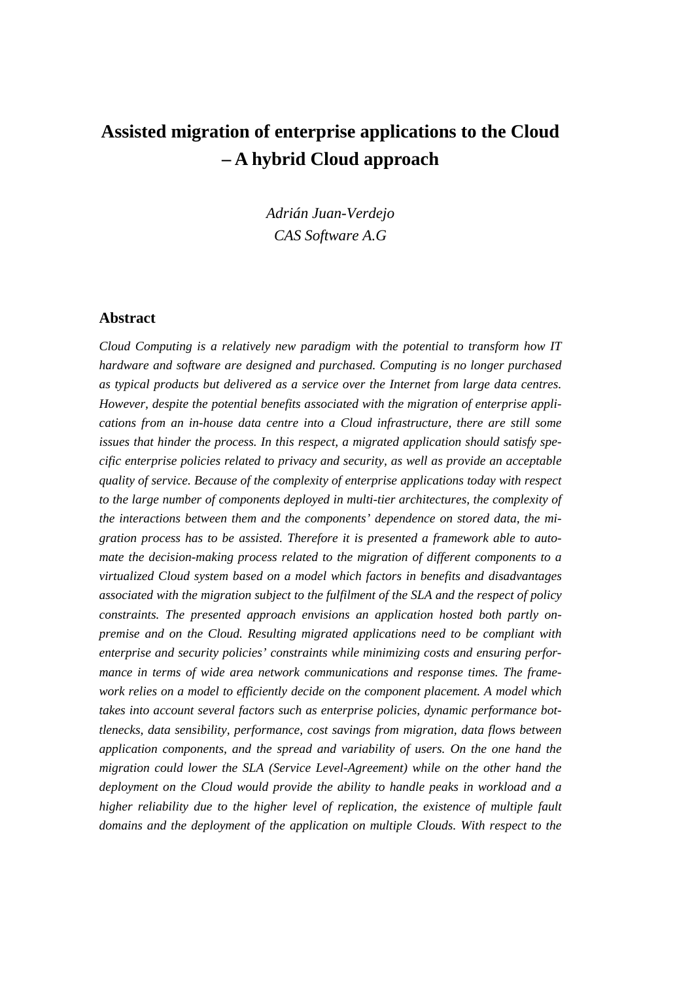# **Assisted migration of enterprise applications to the Cloud – A hybrid Cloud approach**

*Adrián Juan-Verdejo CAS Software A.G*

### **Abstract**

*Cloud Computing is a relatively new paradigm with the potential to transform how IT hardware and software are designed and purchased. Computing is no longer purchased as typical products but delivered as a service over the Internet from large data centres. However, despite the potential benefits associated with the migration of enterprise applications from an in-house data centre into a Cloud infrastructure, there are still some issues that hinder the process. In this respect, a migrated application should satisfy specific enterprise policies related to privacy and security, as well as provide an acceptable quality of service. Because of the complexity of enterprise applications today with respect to the large number of components deployed in multi-tier architectures, the complexity of the interactions between them and the components' dependence on stored data, the migration process has to be assisted. Therefore it is presented a framework able to automate the decision-making process related to the migration of different components to a virtualized Cloud system based on a model which factors in benefits and disadvantages associated with the migration subject to the fulfilment of the SLA and the respect of policy constraints. The presented approach envisions an application hosted both partly onpremise and on the Cloud. Resulting migrated applications need to be compliant with enterprise and security policies' constraints while minimizing costs and ensuring performance in terms of wide area network communications and response times. The framework relies on a model to efficiently decide on the component placement. A model which takes into account several factors such as enterprise policies, dynamic performance bottlenecks, data sensibility, performance, cost savings from migration, data flows between application components, and the spread and variability of users. On the one hand the migration could lower the SLA (Service Level-Agreement) while on the other hand the deployment on the Cloud would provide the ability to handle peaks in workload and a higher reliability due to the higher level of replication, the existence of multiple fault domains and the deployment of the application on multiple Clouds. With respect to the*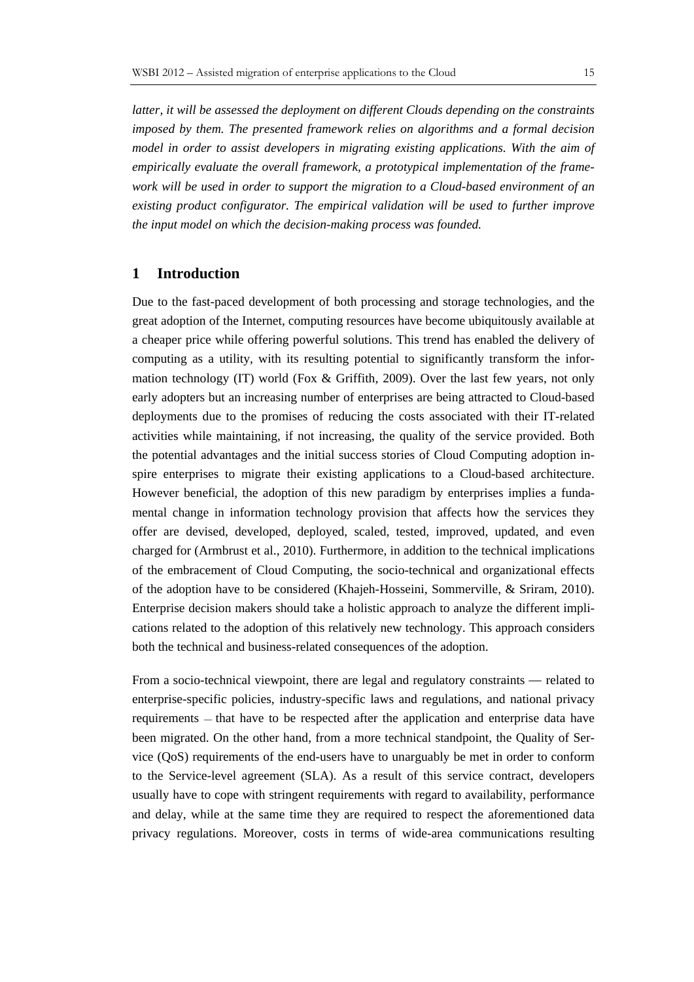*latter, it will be assessed the deployment on different Clouds depending on the constraints imposed by them. The presented framework relies on algorithms and a formal decision model in order to assist developers in migrating existing applications. With the aim of empirically evaluate the overall framework, a prototypical implementation of the framework will be used in order to support the migration to a Cloud-based environment of an existing product configurator. The empirical validation will be used to further improve the input model on which the decision-making process was founded.*

#### **1 Introduction**

Due to the fast-paced development of both processing and storage technologies, and the great adoption of the Internet, computing resources have become ubiquitously available at a cheaper price while offering powerful solutions. This trend has enabled the delivery of computing as a utility, with its resulting potential to significantly transform the information technology (IT) world (Fox & Griffith, 2009). Over the last few years, not only early adopters but an increasing number of enterprises are being attracted to Cloud-based deployments due to the promises of reducing the costs associated with their IT-related activities while maintaining, if not increasing, the quality of the service provided. Both the potential advantages and the initial success stories of Cloud Computing adoption inspire enterprises to migrate their existing applications to a Cloud-based architecture. However beneficial, the adoption of this new paradigm by enterprises implies a fundamental change in information technology provision that affects how the services they offer are devised, developed, deployed, scaled, tested, improved, updated, and even charged for (Armbrust et al., 2010). Furthermore, in addition to the technical implications of the embracement of Cloud Computing, the socio-technical and organizational effects of the adoption have to be considered (Khajeh-Hosseini, Sommerville, & Sriram, 2010). Enterprise decision makers should take a holistic approach to analyze the different implications related to the adoption of this relatively new technology. This approach considers both the technical and business-related consequences of the adoption.

From a socio-technical viewpoint, there are legal and regulatory constraints — related to enterprise-specific policies, industry-specific laws and regulations, and national privacy requirements — that have to be respected after the application and enterprise data have been migrated. On the other hand, from a more technical standpoint, the Quality of Service (QoS) requirements of the end-users have to unarguably be met in order to conform to the Service-level agreement (SLA). As a result of this service contract, developers usually have to cope with stringent requirements with regard to availability, performance and delay, while at the same time they are required to respect the aforementioned data privacy regulations. Moreover, costs in terms of wide-area communications resulting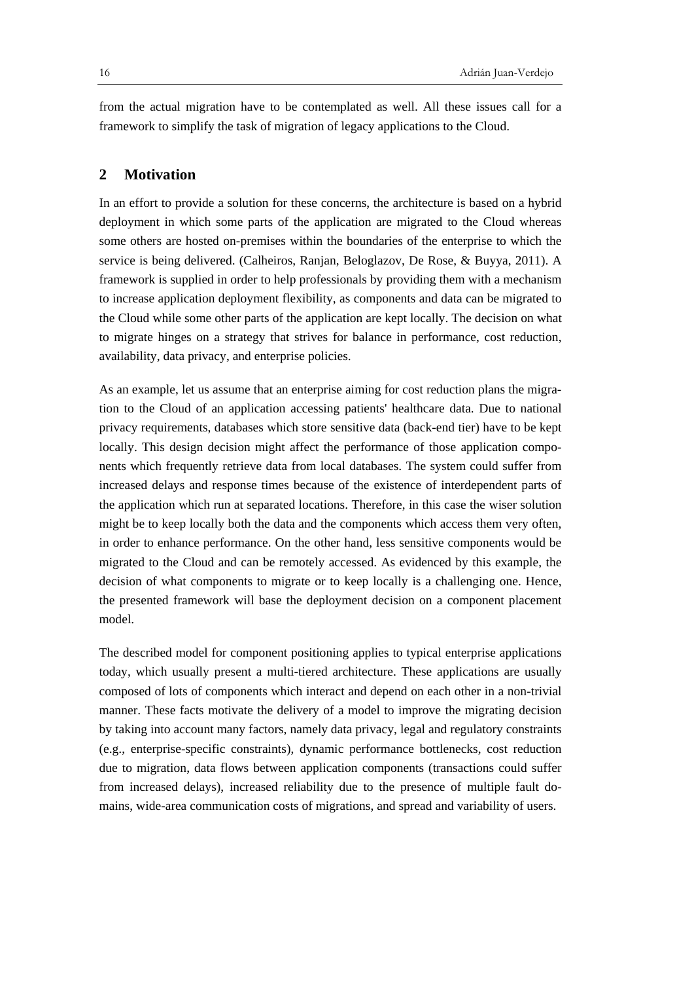from the actual migration have to be contemplated as well. All these issues call for a framework to simplify the task of migration of legacy applications to the Cloud.

# **2 Motivation**

In an effort to provide a solution for these concerns, the architecture is based on a hybrid deployment in which some parts of the application are migrated to the Cloud whereas some others are hosted on-premises within the boundaries of the enterprise to which the service is being delivered. (Calheiros, Ranjan, Beloglazov, De Rose, & Buyya, 2011). A framework is supplied in order to help professionals by providing them with a mechanism to increase application deployment flexibility, as components and data can be migrated to the Cloud while some other parts of the application are kept locally. The decision on what to migrate hinges on a strategy that strives for balance in performance, cost reduction, availability, data privacy, and enterprise policies.

As an example, let us assume that an enterprise aiming for cost reduction plans the migration to the Cloud of an application accessing patients' healthcare data. Due to national privacy requirements, databases which store sensitive data (back-end tier) have to be kept locally. This design decision might affect the performance of those application components which frequently retrieve data from local databases. The system could suffer from increased delays and response times because of the existence of interdependent parts of the application which run at separated locations. Therefore, in this case the wiser solution might be to keep locally both the data and the components which access them very often, in order to enhance performance. On the other hand, less sensitive components would be migrated to the Cloud and can be remotely accessed. As evidenced by this example, the decision of what components to migrate or to keep locally is a challenging one. Hence, the presented framework will base the deployment decision on a component placement model.

The described model for component positioning applies to typical enterprise applications today, which usually present a multi-tiered architecture. These applications are usually composed of lots of components which interact and depend on each other in a non-trivial manner. These facts motivate the delivery of a model to improve the migrating decision by taking into account many factors, namely data privacy, legal and regulatory constraints (e.g., enterprise-specific constraints), dynamic performance bottlenecks, cost reduction due to migration, data flows between application components (transactions could suffer from increased delays), increased reliability due to the presence of multiple fault domains, wide-area communication costs of migrations, and spread and variability of users.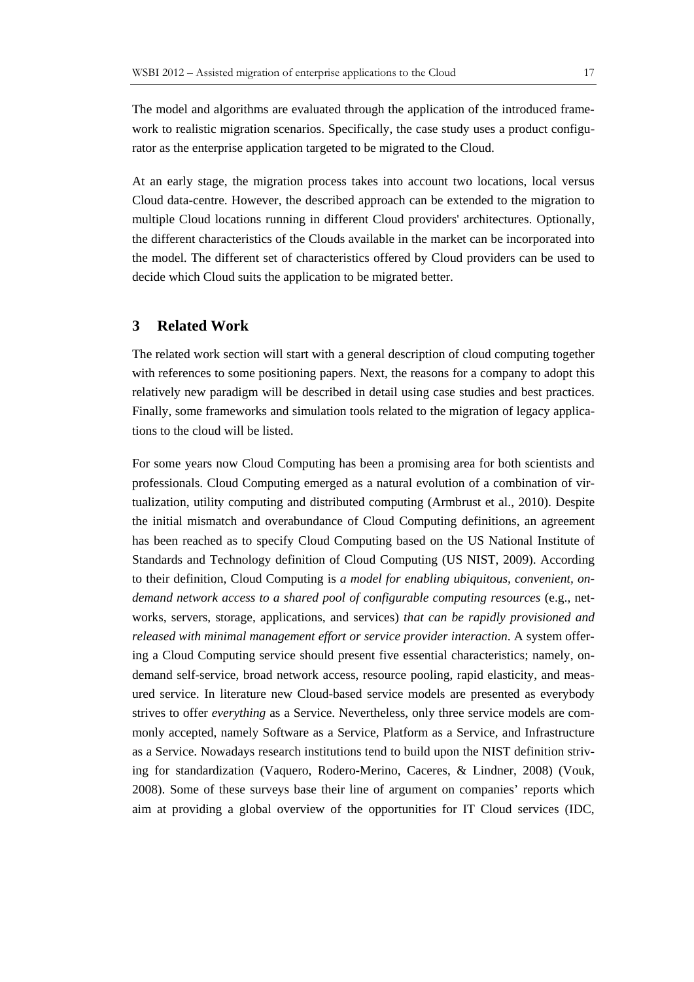The model and algorithms are evaluated through the application of the introduced framework to realistic migration scenarios. Specifically, the case study uses a product configurator as the enterprise application targeted to be migrated to the Cloud.

At an early stage, the migration process takes into account two locations, local versus Cloud data-centre. However, the described approach can be extended to the migration to multiple Cloud locations running in different Cloud providers' architectures. Optionally, the different characteristics of the Clouds available in the market can be incorporated into the model. The different set of characteristics offered by Cloud providers can be used to decide which Cloud suits the application to be migrated better.

# **3 Related Work**

The related work section will start with a general description of cloud computing together with references to some positioning papers. Next, the reasons for a company to adopt this relatively new paradigm will be described in detail using case studies and best practices. Finally, some frameworks and simulation tools related to the migration of legacy applications to the cloud will be listed.

For some years now Cloud Computing has been a promising area for both scientists and professionals. Cloud Computing emerged as a natural evolution of a combination of virtualization, utility computing and distributed computing (Armbrust et al., 2010). Despite the initial mismatch and overabundance of Cloud Computing definitions, an agreement has been reached as to specify Cloud Computing based on the US National Institute of Standards and Technology definition of Cloud Computing (US NIST, 2009). According to their definition, Cloud Computing is *a model for enabling ubiquitous, convenient, ondemand network access to a shared pool of configurable computing resources* (e.g., networks, servers, storage, applications, and services) *that can be rapidly provisioned and released with minimal management effort or service provider interaction*. A system offering a Cloud Computing service should present five essential characteristics; namely, ondemand self-service, broad network access, resource pooling, rapid elasticity, and measured service. In literature new Cloud-based service models are presented as everybody strives to offer *everything* as a Service. Nevertheless, only three service models are commonly accepted, namely Software as a Service, Platform as a Service, and Infrastructure as a Service. Nowadays research institutions tend to build upon the NIST definition striving for standardization (Vaquero, Rodero-Merino, Caceres, & Lindner, 2008) (Vouk, 2008). Some of these surveys base their line of argument on companies' reports which aim at providing a global overview of the opportunities for IT Cloud services (IDC,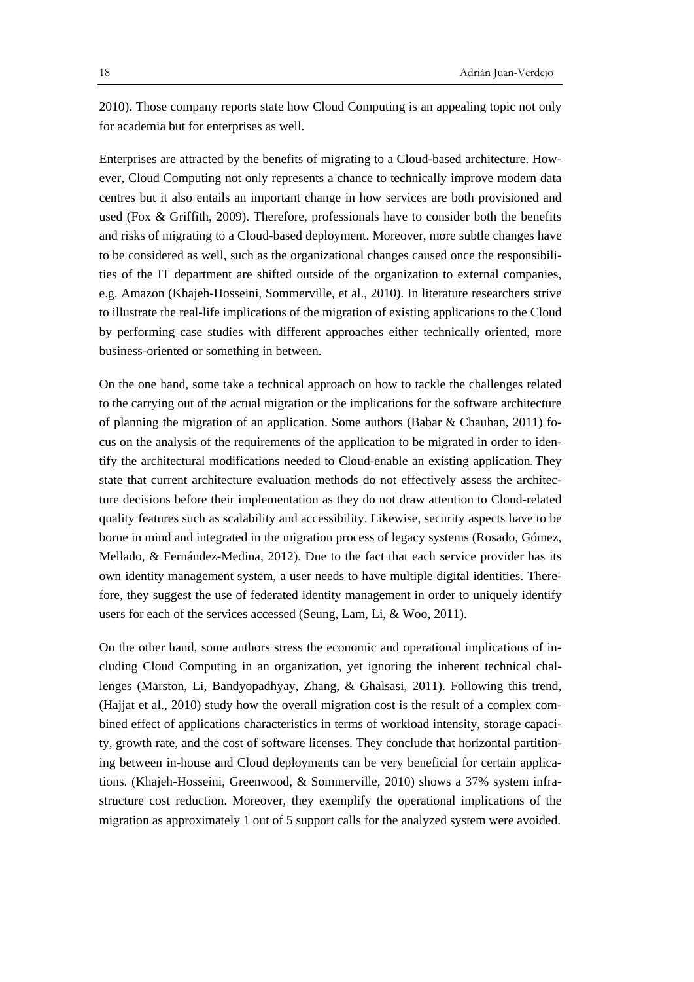2010). Those company reports state how Cloud Computing is an appealing topic not only for academia but for enterprises as well.

Enterprises are attracted by the benefits of migrating to a Cloud-based architecture. However, Cloud Computing not only represents a chance to technically improve modern data centres but it also entails an important change in how services are both provisioned and used (Fox & Griffith, 2009). Therefore, professionals have to consider both the benefits and risks of migrating to a Cloud-based deployment. Moreover, more subtle changes have to be considered as well, such as the organizational changes caused once the responsibilities of the IT department are shifted outside of the organization to external companies, e.g. Amazon (Khajeh-Hosseini, Sommerville, et al., 2010). In literature researchers strive to illustrate the real-life implications of the migration of existing applications to the Cloud by performing case studies with different approaches either technically oriented, more business-oriented or something in between.

On the one hand, some take a technical approach on how to tackle the challenges related to the carrying out of the actual migration or the implications for the software architecture of planning the migration of an application. Some authors (Babar & Chauhan, 2011) focus on the analysis of the requirements of the application to be migrated in order to identify the architectural modifications needed to Cloud-enable an existing application. They state that current architecture evaluation methods do not effectively assess the architecture decisions before their implementation as they do not draw attention to Cloud-related quality features such as scalability and accessibility. Likewise, security aspects have to be borne in mind and integrated in the migration process of legacy systems (Rosado, Gómez, Mellado, & Fernández-Medina, 2012). Due to the fact that each service provider has its own identity management system, a user needs to have multiple digital identities. Therefore, they suggest the use of federated identity management in order to uniquely identify users for each of the services accessed (Seung, Lam, Li, & Woo, 2011).

On the other hand, some authors stress the economic and operational implications of including Cloud Computing in an organization, yet ignoring the inherent technical challenges (Marston, Li, Bandyopadhyay, Zhang, & Ghalsasi, 2011). Following this trend, (Hajjat et al., 2010) study how the overall migration cost is the result of a complex combined effect of applications characteristics in terms of workload intensity, storage capacity, growth rate, and the cost of software licenses. They conclude that horizontal partitioning between in-house and Cloud deployments can be very beneficial for certain applications. (Khajeh-Hosseini, Greenwood, & Sommerville, 2010) shows a 37% system infrastructure cost reduction. Moreover, they exemplify the operational implications of the migration as approximately 1 out of 5 support calls for the analyzed system were avoided.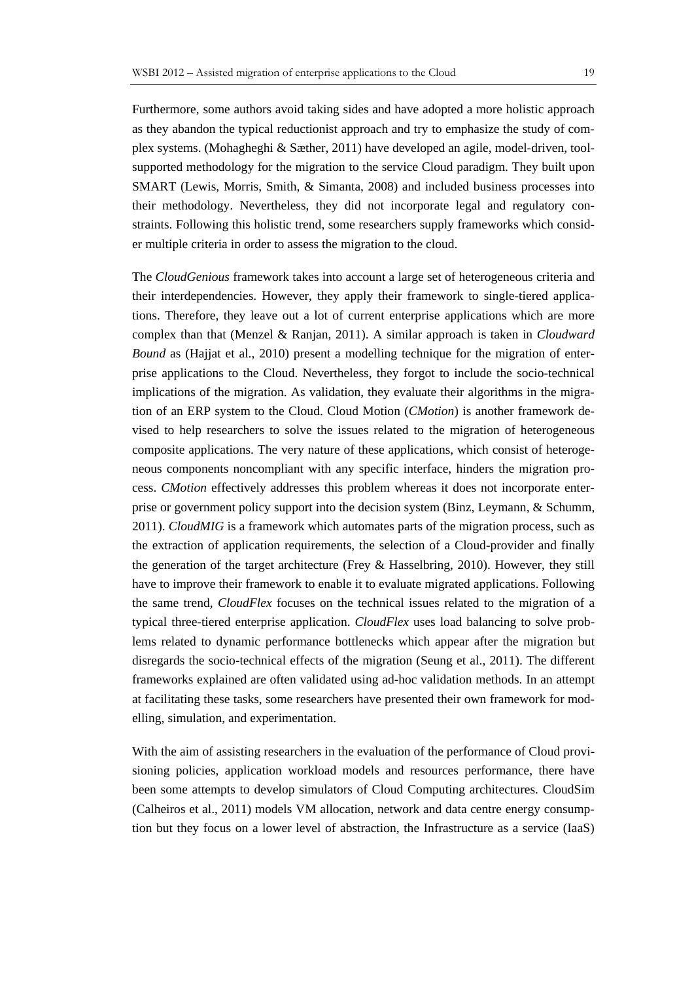Furthermore, some authors avoid taking sides and have adopted a more holistic approach as they abandon the typical reductionist approach and try to emphasize the study of complex systems. (Mohagheghi & Sæther, 2011) have developed an agile, model-driven, toolsupported methodology for the migration to the service Cloud paradigm. They built upon SMART (Lewis, Morris, Smith, & Simanta, 2008) and included business processes into their methodology. Nevertheless, they did not incorporate legal and regulatory constraints. Following this holistic trend, some researchers supply frameworks which consider multiple criteria in order to assess the migration to the cloud.

The *CloudGenious* framework takes into account a large set of heterogeneous criteria and their interdependencies. However, they apply their framework to single-tiered applications. Therefore, they leave out a lot of current enterprise applications which are more complex than that (Menzel & Ranjan, 2011). A similar approach is taken in *Cloudward Bound* as (Hajjat et al., 2010) present a modelling technique for the migration of enterprise applications to the Cloud. Nevertheless, they forgot to include the socio-technical implications of the migration. As validation, they evaluate their algorithms in the migration of an ERP system to the Cloud. Cloud Motion (*CMotion*) is another framework devised to help researchers to solve the issues related to the migration of heterogeneous composite applications. The very nature of these applications, which consist of heterogeneous components noncompliant with any specific interface, hinders the migration process. *CMotion* effectively addresses this problem whereas it does not incorporate enterprise or government policy support into the decision system (Binz, Leymann, & Schumm, 2011). *CloudMIG* is a framework which automates parts of the migration process, such as the extraction of application requirements, the selection of a Cloud-provider and finally the generation of the target architecture (Frey & Hasselbring, 2010). However, they still have to improve their framework to enable it to evaluate migrated applications. Following the same trend, *CloudFlex* focuses on the technical issues related to the migration of a typical three-tiered enterprise application. *CloudFlex* uses load balancing to solve problems related to dynamic performance bottlenecks which appear after the migration but disregards the socio-technical effects of the migration (Seung et al., 2011). The different frameworks explained are often validated using ad-hoc validation methods. In an attempt at facilitating these tasks, some researchers have presented their own framework for modelling, simulation, and experimentation.

With the aim of assisting researchers in the evaluation of the performance of Cloud provisioning policies, application workload models and resources performance, there have been some attempts to develop simulators of Cloud Computing architectures. CloudSim (Calheiros et al., 2011) models VM allocation, network and data centre energy consumption but they focus on a lower level of abstraction, the Infrastructure as a service (IaaS)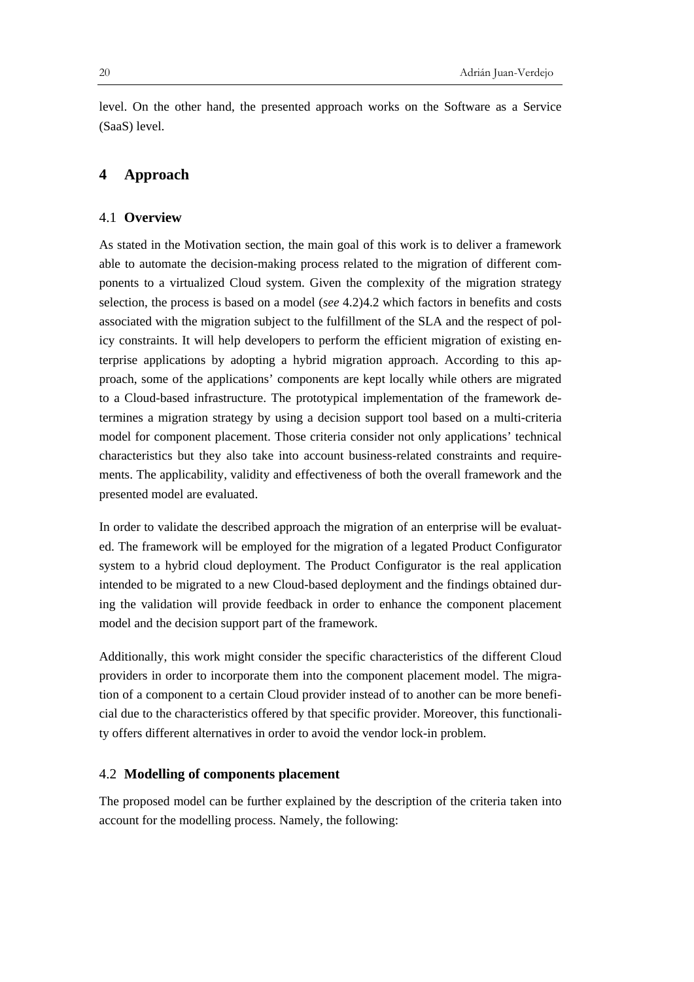level. On the other hand, the presented approach works on the Software as a Service (SaaS) level.

# **4 Approach**

#### 4.1 **Overview**

As stated in the Motivation section, the main goal of this work is to deliver a framework able to automate the decision-making process related to the migration of different components to a virtualized Cloud system. Given the complexity of the migration strategy selection, the process is based on a model (*see* 4.2)4.2 which factors in benefits and costs associated with the migration subject to the fulfillment of the SLA and the respect of policy constraints. It will help developers to perform the efficient migration of existing enterprise applications by adopting a hybrid migration approach. According to this approach, some of the applications' components are kept locally while others are migrated to a Cloud-based infrastructure. The prototypical implementation of the framework determines a migration strategy by using a decision support tool based on a multi-criteria model for component placement. Those criteria consider not only applications' technical characteristics but they also take into account business-related constraints and requirements. The applicability, validity and effectiveness of both the overall framework and the presented model are evaluated.

In order to validate the described approach the migration of an enterprise will be evaluated. The framework will be employed for the migration of a legated Product Configurator system to a hybrid cloud deployment. The Product Configurator is the real application intended to be migrated to a new Cloud-based deployment and the findings obtained during the validation will provide feedback in order to enhance the component placement model and the decision support part of the framework.

Additionally, this work might consider the specific characteristics of the different Cloud providers in order to incorporate them into the component placement model. The migration of a component to a certain Cloud provider instead of to another can be more beneficial due to the characteristics offered by that specific provider. Moreover, this functionality offers different alternatives in order to avoid the vendor lock-in problem.

# 4.2 **Modelling of components placement**

The proposed model can be further explained by the description of the criteria taken into account for the modelling process. Namely, the following: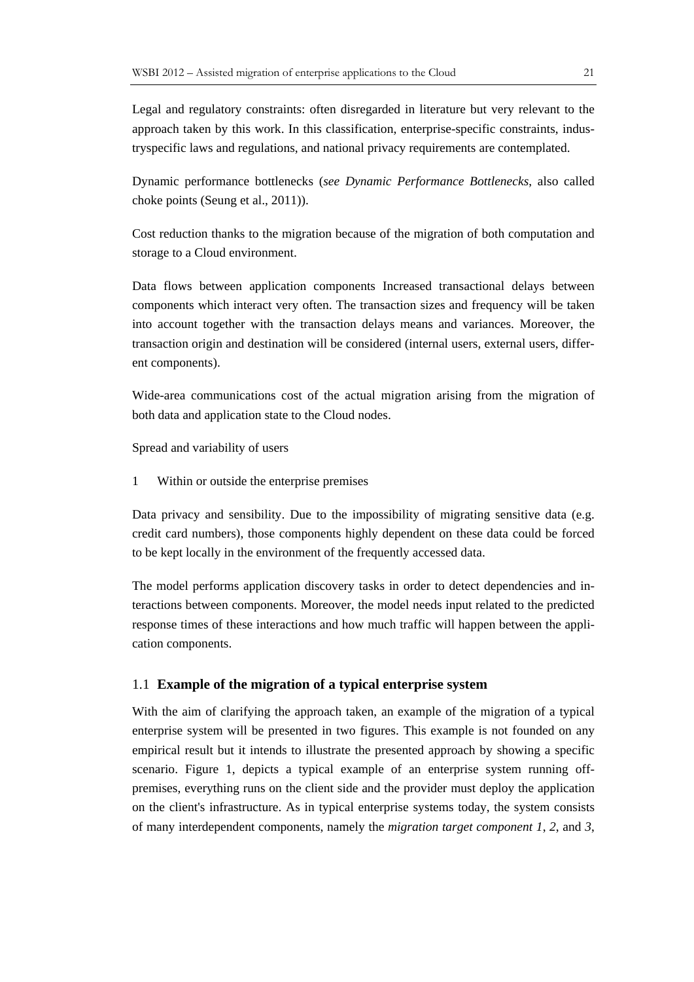Legal and regulatory constraints: often disregarded in literature but very relevant to the approach taken by this work. In this classification, enterprise-specific constraints, industryspecific laws and regulations, and national privacy requirements are contemplated.

Dynamic performance bottlenecks (*see Dynamic Performance Bottlenecks*, also called choke points (Seung et al., 2011)).

Cost reduction thanks to the migration because of the migration of both computation and storage to a Cloud environment.

Data flows between application components Increased transactional delays between components which interact very often. The transaction sizes and frequency will be taken into account together with the transaction delays means and variances. Moreover, the transaction origin and destination will be considered (internal users, external users, different components).

Wide-area communications cost of the actual migration arising from the migration of both data and application state to the Cloud nodes.

Spread and variability of users

1 Within or outside the enterprise premises

Data privacy and sensibility. Due to the impossibility of migrating sensitive data (e.g. credit card numbers), those components highly dependent on these data could be forced to be kept locally in the environment of the frequently accessed data.

The model performs application discovery tasks in order to detect dependencies and interactions between components. Moreover, the model needs input related to the predicted response times of these interactions and how much traffic will happen between the application components.

### 1.1 **Example of the migration of a typical enterprise system**

With the aim of clarifying the approach taken, an example of the migration of a typical enterprise system will be presented in two figures. This example is not founded on any empirical result but it intends to illustrate the presented approach by showing a specific scenario. Figure 1, depicts a typical example of an enterprise system running offpremises, everything runs on the client side and the provider must deploy the application on the client's infrastructure. As in typical enterprise systems today, the system consists of many interdependent components, namely the *migration target component 1*, *2*, and *3*,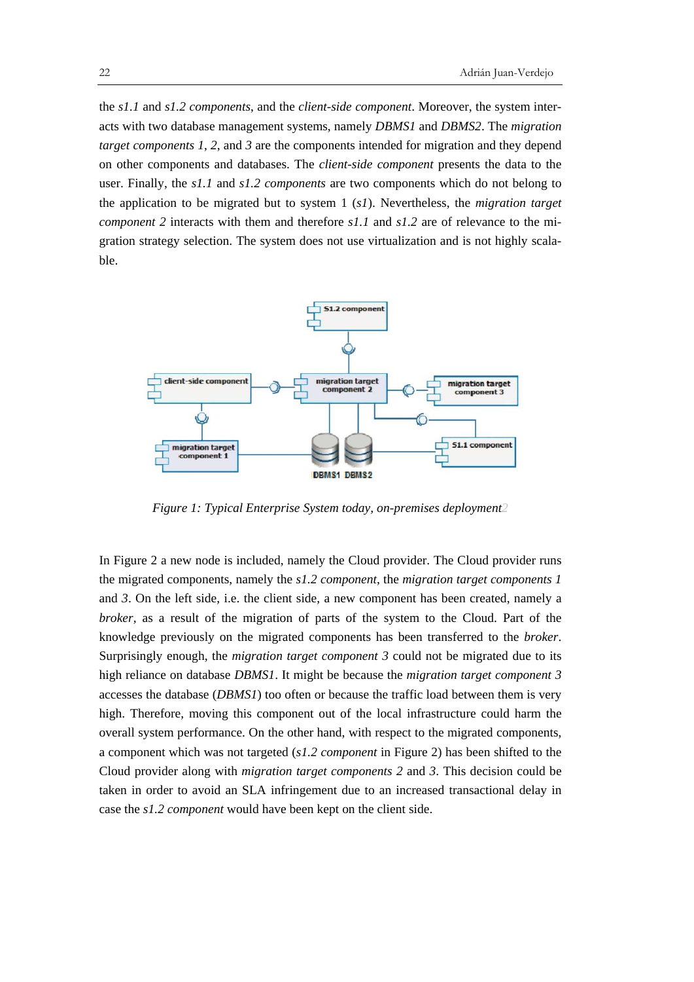the *s1.1* and *s1.2 components*, and the *client-side component*. Moreover, the system interacts with two database management systems, namely *DBMS1* and *DBMS2*. The *migration target components 1*, *2*, and *3* are the components intended for migration and they depend on other components and databases. The *client-side component* presents the data to the user. Finally, the *s1.1* and *s1.2 components* are two components which do not belong to the application to be migrated but to system 1 (*s1*). Nevertheless, the *migration target component 2* interacts with them and therefore *s1.1* and *s1.2* are of relevance to the migration strategy selection. The system does not use virtualization and is not highly scalable.



*Figure 1: Typical Enterprise System today, on-premises deployment2* 

In Figure 2 a new node is included, namely the Cloud provider. The Cloud provider runs the migrated components, namely the *s1.2 component*, the *migration target components 1*  and *3*. On the left side, i.e. the client side, a new component has been created, namely a *broker*, as a result of the migration of parts of the system to the Cloud. Part of the knowledge previously on the migrated components has been transferred to the *broker*. Surprisingly enough, the *migration target component 3* could not be migrated due to its high reliance on database *DBMS1*. It might be because the *migration target component 3*  accesses the database (*DBMS1*) too often or because the traffic load between them is very high. Therefore, moving this component out of the local infrastructure could harm the overall system performance. On the other hand, with respect to the migrated components, a component which was not targeted (*s1.2 component* in Figure 2) has been shifted to the Cloud provider along with *migration target components 2* and *3*. This decision could be taken in order to avoid an SLA infringement due to an increased transactional delay in case the *s1.2 component* would have been kept on the client side.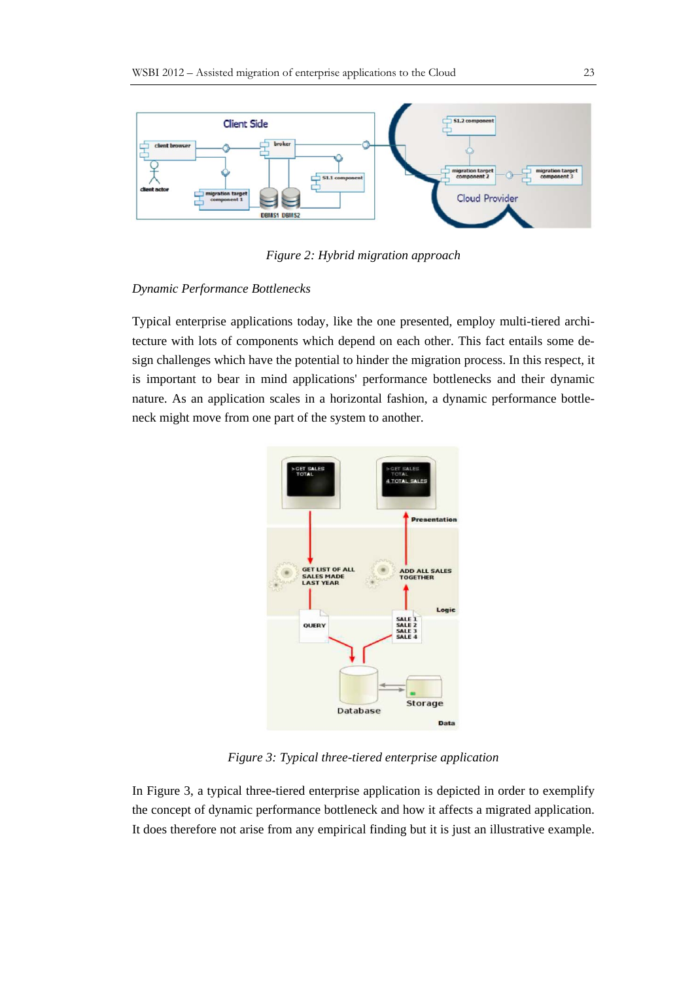

*Figure 2: Hybrid migration approach*

#### *Dynamic Performance Bottlenecks*

Typical enterprise applications today, like the one presented, employ multi-tiered architecture with lots of components which depend on each other. This fact entails some design challenges which have the potential to hinder the migration process. In this respect, it is important to bear in mind applications' performance bottlenecks and their dynamic nature. As an application scales in a horizontal fashion, a dynamic performance bottleneck might move from one part of the system to another.



*Figure 3: Typical three-tiered enterprise application* 

In Figure 3, a typical three-tiered enterprise application is depicted in order to exemplify the concept of dynamic performance bottleneck and how it affects a migrated application. It does therefore not arise from any empirical finding but it is just an illustrative example.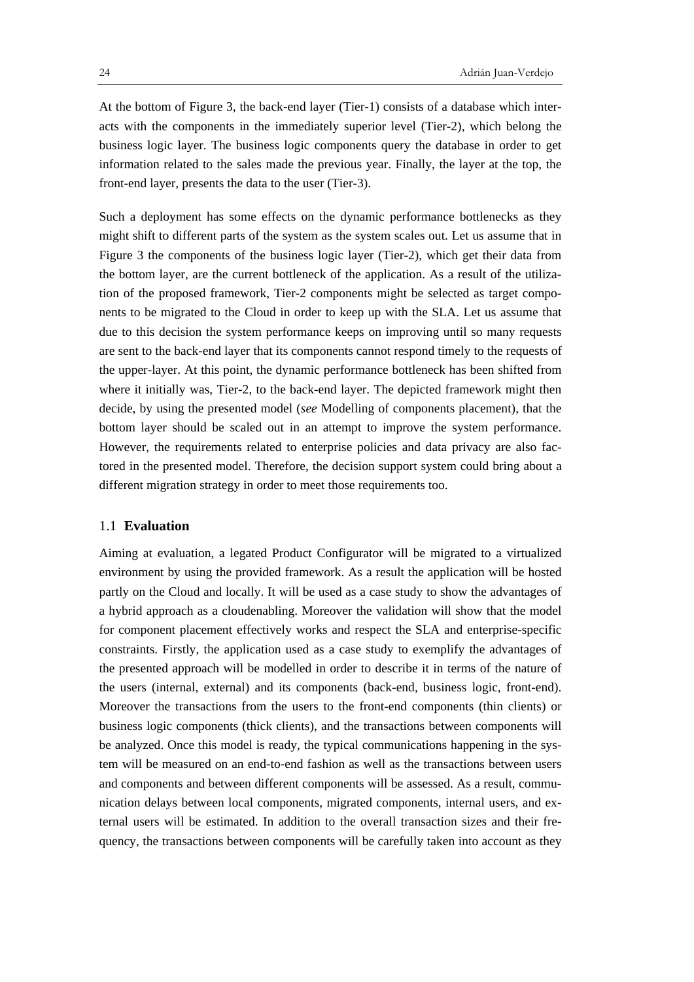At the bottom of Figure 3, the back-end layer (Tier-1) consists of a database which interacts with the components in the immediately superior level (Tier-2), which belong the business logic layer. The business logic components query the database in order to get information related to the sales made the previous year. Finally, the layer at the top, the front-end layer, presents the data to the user (Tier-3).

Such a deployment has some effects on the dynamic performance bottlenecks as they might shift to different parts of the system as the system scales out. Let us assume that in Figure 3 the components of the business logic layer (Tier-2), which get their data from the bottom layer, are the current bottleneck of the application. As a result of the utilization of the proposed framework, Tier-2 components might be selected as target components to be migrated to the Cloud in order to keep up with the SLA. Let us assume that due to this decision the system performance keeps on improving until so many requests are sent to the back-end layer that its components cannot respond timely to the requests of the upper-layer. At this point, the dynamic performance bottleneck has been shifted from where it initially was, Tier-2, to the back-end layer. The depicted framework might then decide, by using the presented model (*see* Modelling of components placement), that the bottom layer should be scaled out in an attempt to improve the system performance. However, the requirements related to enterprise policies and data privacy are also factored in the presented model. Therefore, the decision support system could bring about a different migration strategy in order to meet those requirements too.

#### 1.1 **Evaluation**

Aiming at evaluation, a legated Product Configurator will be migrated to a virtualized environment by using the provided framework. As a result the application will be hosted partly on the Cloud and locally. It will be used as a case study to show the advantages of a hybrid approach as a cloudenabling. Moreover the validation will show that the model for component placement effectively works and respect the SLA and enterprise-specific constraints. Firstly, the application used as a case study to exemplify the advantages of the presented approach will be modelled in order to describe it in terms of the nature of the users (internal, external) and its components (back-end, business logic, front-end). Moreover the transactions from the users to the front-end components (thin clients) or business logic components (thick clients), and the transactions between components will be analyzed. Once this model is ready, the typical communications happening in the system will be measured on an end-to-end fashion as well as the transactions between users and components and between different components will be assessed. As a result, communication delays between local components, migrated components, internal users, and external users will be estimated. In addition to the overall transaction sizes and their frequency, the transactions between components will be carefully taken into account as they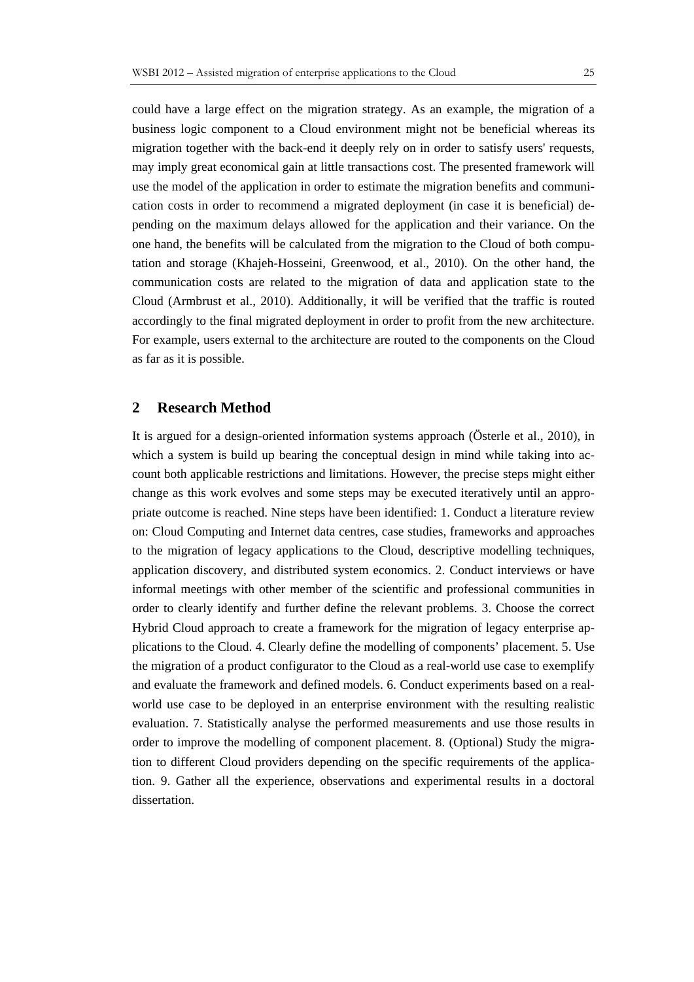could have a large effect on the migration strategy. As an example, the migration of a business logic component to a Cloud environment might not be beneficial whereas its migration together with the back-end it deeply rely on in order to satisfy users' requests, may imply great economical gain at little transactions cost. The presented framework will use the model of the application in order to estimate the migration benefits and communication costs in order to recommend a migrated deployment (in case it is beneficial) depending on the maximum delays allowed for the application and their variance. On the one hand, the benefits will be calculated from the migration to the Cloud of both computation and storage (Khajeh-Hosseini, Greenwood, et al., 2010). On the other hand, the communication costs are related to the migration of data and application state to the Cloud (Armbrust et al., 2010). Additionally, it will be verified that the traffic is routed accordingly to the final migrated deployment in order to profit from the new architecture. For example, users external to the architecture are routed to the components on the Cloud as far as it is possible.

# **2 Research Method**

It is argued for a design-oriented information systems approach (Österle et al., 2010), in which a system is build up bearing the conceptual design in mind while taking into account both applicable restrictions and limitations. However, the precise steps might either change as this work evolves and some steps may be executed iteratively until an appropriate outcome is reached. Nine steps have been identified: 1. Conduct a literature review on: Cloud Computing and Internet data centres, case studies, frameworks and approaches to the migration of legacy applications to the Cloud, descriptive modelling techniques, application discovery, and distributed system economics. 2. Conduct interviews or have informal meetings with other member of the scientific and professional communities in order to clearly identify and further define the relevant problems. 3. Choose the correct Hybrid Cloud approach to create a framework for the migration of legacy enterprise applications to the Cloud. 4. Clearly define the modelling of components' placement. 5. Use the migration of a product configurator to the Cloud as a real-world use case to exemplify and evaluate the framework and defined models. 6. Conduct experiments based on a realworld use case to be deployed in an enterprise environment with the resulting realistic evaluation. 7. Statistically analyse the performed measurements and use those results in order to improve the modelling of component placement. 8. (Optional) Study the migration to different Cloud providers depending on the specific requirements of the application. 9. Gather all the experience, observations and experimental results in a doctoral dissertation.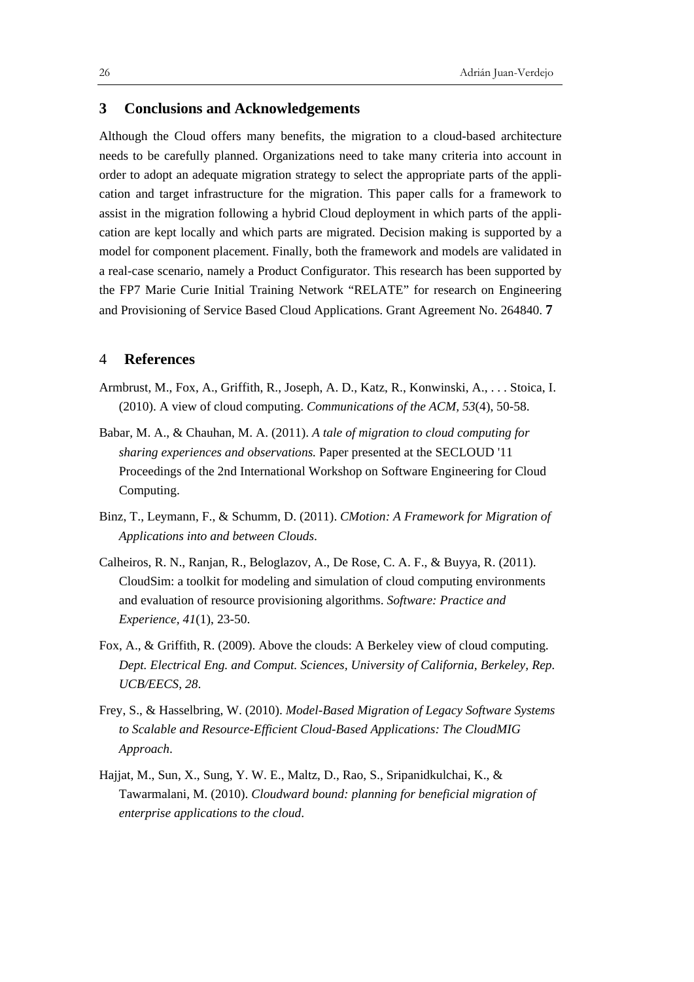# **3 Conclusions and Acknowledgements**

Although the Cloud offers many benefits, the migration to a cloud-based architecture needs to be carefully planned. Organizations need to take many criteria into account in order to adopt an adequate migration strategy to select the appropriate parts of the application and target infrastructure for the migration. This paper calls for a framework to assist in the migration following a hybrid Cloud deployment in which parts of the application are kept locally and which parts are migrated. Decision making is supported by a model for component placement. Finally, both the framework and models are validated in a real-case scenario, namely a Product Configurator. This research has been supported by the FP7 Marie Curie Initial Training Network "RELATE" for research on Engineering and Provisioning of Service Based Cloud Applications. Grant Agreement No. 264840. **7** 

#### 4 **References**

- Armbrust, M., Fox, A., Griffith, R., Joseph, A. D., Katz, R., Konwinski, A., . . . Stoica, I. (2010). A view of cloud computing. *Communications of the ACM, 53*(4), 50-58.
- Babar, M. A., & Chauhan, M. A. (2011). *A tale of migration to cloud computing for sharing experiences and observations.* Paper presented at the SECLOUD '11 Proceedings of the 2nd International Workshop on Software Engineering for Cloud Computing.
- Binz, T., Leymann, F., & Schumm, D. (2011). *CMotion: A Framework for Migration of Applications into and between Clouds*.
- Calheiros, R. N., Ranjan, R., Beloglazov, A., De Rose, C. A. F., & Buyya, R. (2011). CloudSim: a toolkit for modeling and simulation of cloud computing environments and evaluation of resource provisioning algorithms. *Software: Practice and Experience, 41*(1), 23-50.
- Fox, A., & Griffith, R. (2009). Above the clouds: A Berkeley view of cloud computing. *Dept. Electrical Eng. and Comput. Sciences, University of California, Berkeley, Rep. UCB/EECS, 28*.
- Frey, S., & Hasselbring, W. (2010). *Model-Based Migration of Legacy Software Systems to Scalable and Resource-Efficient Cloud-Based Applications: The CloudMIG Approach*.
- Hajjat, M., Sun, X., Sung, Y. W. E., Maltz, D., Rao, S., Sripanidkulchai, K., & Tawarmalani, M. (2010). *Cloudward bound: planning for beneficial migration of enterprise applications to the cloud*.